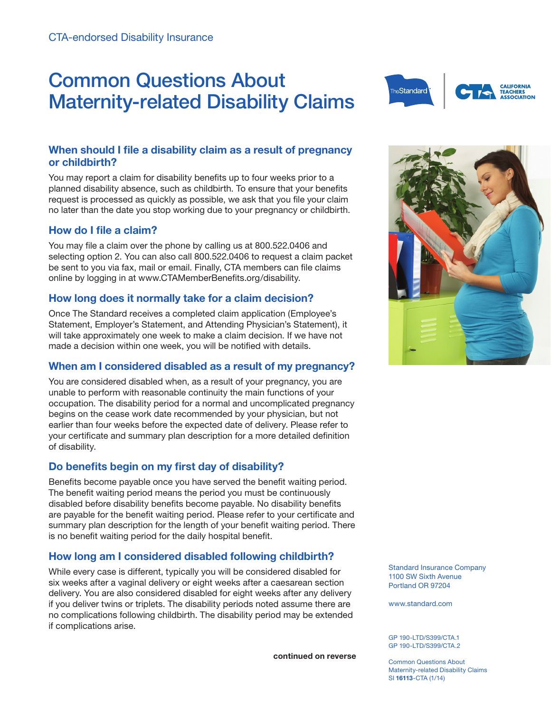# Common Questions About Maternity-related Disability Claims



# **When should I file a disability claim as a result of pregnancy or childbirth?**

You may report a claim for disability benefits up to four weeks prior to a planned disability absence, such as childbirth. To ensure that your benefits request is processed as quickly as possible, we ask that you file your claim no later than the date you stop working due to your pregnancy or childbirth.

### **How do I file a claim?**

You may file a claim over the phone by calling us at 800.522.0406 and selecting option 2. You can also call 800.522.0406 to request a claim packet be sent to you via fax, mail or email. Finally, CTA members can file claims online by logging in at www.CTAMemberBenefits.org/disability.

# **How long does it normally take for a claim decision?**

Once The Standard receives a completed claim application (Employee's Statement, Employer's Statement, and Attending Physician's Statement), it will take approximately one week to make a claim decision. If we have not made a decision within one week, you will be notified with details.

# **When am I considered disabled as a result of my pregnancy?**

You are considered disabled when, as a result of your pregnancy, you are unable to perform with reasonable continuity the main functions of your occupation. The disability period for a normal and uncomplicated pregnancy begins on the cease work date recommended by your physician, but not earlier than four weeks before the expected date of delivery. Please refer to your certificate and summary plan description for a more detailed definition of disability.

# **Do benefits begin on my first day of disability?**

Benefits become payable once you have served the benefit waiting period. The benefit waiting period means the period you must be continuously disabled before disability benefits become payable. No disability benefits are payable for the benefit waiting period. Please refer to your certificate and summary plan description for the length of your benefit waiting period. There is no benefit waiting period for the daily hospital benefit.

# **How long am I considered disabled following childbirth?**

While every case is different, typically you will be considered disabled for six weeks after a vaginal delivery or eight weeks after a caesarean section delivery. You are also considered disabled for eight weeks after any delivery if you deliver twins or triplets. The disability periods noted assume there are no complications following childbirth. The disability period may be extended if complications arise.

**continued on reverse**



Standard Insurance Company 1100 SW Sixth Avenue Portland OR 97204

www.standard.com

GP 190-LTD/S399/CTA.1 GP 190-LTD/S399/CTA.2

Common Questions About Maternity-related Disability Claims SI **16113**-CTA (1/14)